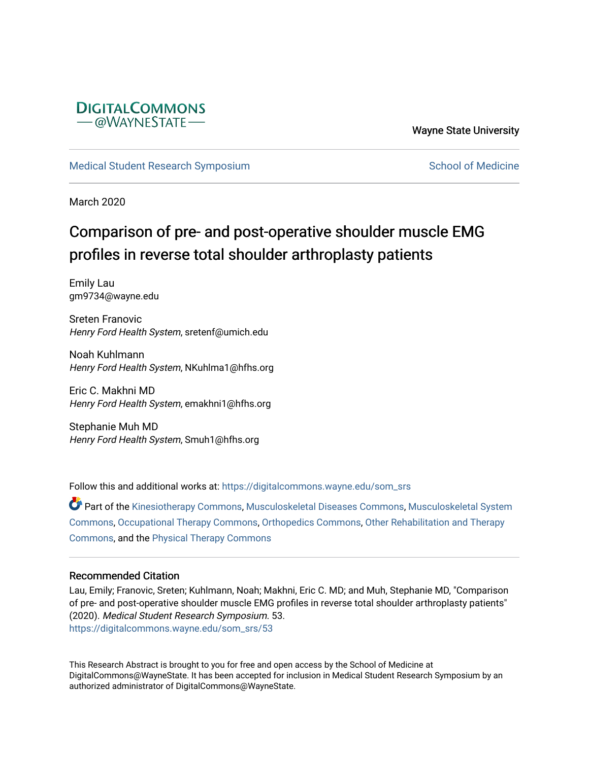

Wayne State University

[Medical Student Research Symposium](https://digitalcommons.wayne.edu/som_srs) [School of Medicine](https://digitalcommons.wayne.edu/med) School of Medicine

March 2020

## Comparison of pre- and post-operative shoulder muscle EMG profiles in reverse total shoulder arthroplasty patients

Emily Lau gm9734@wayne.edu

Sreten Franovic Henry Ford Health System, sretenf@umich.edu

Noah Kuhlmann Henry Ford Health System, NKuhlma1@hfhs.org

Eric C. Makhni MD Henry Ford Health System, emakhni1@hfhs.org

Stephanie Muh MD Henry Ford Health System, Smuh1@hfhs.org

Follow this and additional works at: [https://digitalcommons.wayne.edu/som\\_srs](https://digitalcommons.wayne.edu/som_srs?utm_source=digitalcommons.wayne.edu%2Fsom_srs%2F53&utm_medium=PDF&utm_campaign=PDFCoverPages)

Part of the [Kinesiotherapy Commons,](http://network.bepress.com/hgg/discipline/757?utm_source=digitalcommons.wayne.edu%2Fsom_srs%2F53&utm_medium=PDF&utm_campaign=PDFCoverPages) [Musculoskeletal Diseases Commons](http://network.bepress.com/hgg/discipline/996?utm_source=digitalcommons.wayne.edu%2Fsom_srs%2F53&utm_medium=PDF&utm_campaign=PDFCoverPages), [Musculoskeletal System](http://network.bepress.com/hgg/discipline/938?utm_source=digitalcommons.wayne.edu%2Fsom_srs%2F53&utm_medium=PDF&utm_campaign=PDFCoverPages)  [Commons](http://network.bepress.com/hgg/discipline/938?utm_source=digitalcommons.wayne.edu%2Fsom_srs%2F53&utm_medium=PDF&utm_campaign=PDFCoverPages), [Occupational Therapy Commons](http://network.bepress.com/hgg/discipline/752?utm_source=digitalcommons.wayne.edu%2Fsom_srs%2F53&utm_medium=PDF&utm_campaign=PDFCoverPages), [Orthopedics Commons](http://network.bepress.com/hgg/discipline/696?utm_source=digitalcommons.wayne.edu%2Fsom_srs%2F53&utm_medium=PDF&utm_campaign=PDFCoverPages), [Other Rehabilitation and Therapy](http://network.bepress.com/hgg/discipline/758?utm_source=digitalcommons.wayne.edu%2Fsom_srs%2F53&utm_medium=PDF&utm_campaign=PDFCoverPages)  [Commons](http://network.bepress.com/hgg/discipline/758?utm_source=digitalcommons.wayne.edu%2Fsom_srs%2F53&utm_medium=PDF&utm_campaign=PDFCoverPages), and the [Physical Therapy Commons](http://network.bepress.com/hgg/discipline/754?utm_source=digitalcommons.wayne.edu%2Fsom_srs%2F53&utm_medium=PDF&utm_campaign=PDFCoverPages)

## Recommended Citation

Lau, Emily; Franovic, Sreten; Kuhlmann, Noah; Makhni, Eric C. MD; and Muh, Stephanie MD, "Comparison of pre- and post-operative shoulder muscle EMG profiles in reverse total shoulder arthroplasty patients" (2020). Medical Student Research Symposium. 53. [https://digitalcommons.wayne.edu/som\\_srs/53](https://digitalcommons.wayne.edu/som_srs/53?utm_source=digitalcommons.wayne.edu%2Fsom_srs%2F53&utm_medium=PDF&utm_campaign=PDFCoverPages) 

This Research Abstract is brought to you for free and open access by the School of Medicine at DigitalCommons@WayneState. It has been accepted for inclusion in Medical Student Research Symposium by an authorized administrator of DigitalCommons@WayneState.